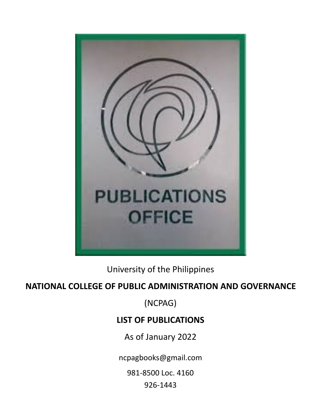

University of the Philippines

## **NATIONAL COLLEGE OF PUBLIC ADMINISTRATION AND GOVERNANCE**

(NCPAG)

## **LIST OF PUBLICATIONS**

As of January 2022

ncpagbooks@gmail.com

981-8500 Loc. 4160

926-1443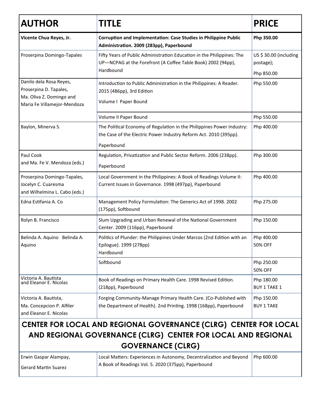| <b>AUTHOR</b>                                                                                                | TITLE                                                                                                                                                        | <b>PRICE</b>                       |
|--------------------------------------------------------------------------------------------------------------|--------------------------------------------------------------------------------------------------------------------------------------------------------------|------------------------------------|
| Vicente Chua Reyes, Jr.                                                                                      | Corruption and Implementation: Case Studies in Philippine Public<br>Administration. 2009 (283pp), Paperbound                                                 | Php 350.00                         |
| Proserpina Domingo-Tapales                                                                                   | Fifty Years of Public Administration Education in the Philippines: The<br>UP-NCPAG at the Forefront (A Coffee Table Book) 2002 (94pp),<br>Hardbound          | US \$30.00 (including<br>postage); |
|                                                                                                              |                                                                                                                                                              | Php 850.00                         |
| Danilo dela Rosa Reyes,<br>Proserpina D. Tapales,<br>Ma. Oliva Z. Domingo and<br>Maria Fe Villamejor-Mendoza | Introduction to Public Administration in the Philippines: A Reader.<br>2015 (486pp), 3rd Edition<br>Volume I Paper Bound                                     | Php 550.00                         |
|                                                                                                              | Volume II Paper Bound                                                                                                                                        | Php 550.00                         |
| Baylon, Minerva S.                                                                                           | The Political Economy of Regulation in the Philippines Power Industry:<br>the Case of the Electric Power Industry Reform Act. 2010 (395pp).<br>Paperbound    | Php 400.00                         |
| Paul Cook<br>and Ma. Fe V. Mendoza (eds.)                                                                    | Regulation, Privatization and Public Sector Reform. 2006 (238pp).<br>Paperbound                                                                              | Php 300.00                         |
| Proserpina Domingo-Tapales,<br>Jocelyn C. Cuaresma<br>and Wilhelmina L. Cabo (eds.)                          | Local Government in the Philippines: A Book of Readings Volume II:<br>Current Issues in Governance. 1998 (497pp), Paperbound                                 | Php 400.00                         |
| Edna Estifania A. Co                                                                                         | Management Policy Formulation: The Generics Act of 1998. 2002<br>(175pp), Softbound                                                                          | Php 275.00                         |
| Rolyn B. Francisco                                                                                           | Slum Upgrading and Urban Renewal of the National Government<br>Center. 2009 (116pp), Paperbound                                                              | Php 150.00                         |
| Belinda A. Aquino Belinda A.<br>Aquino                                                                       | Politics of Plunder: the Philippines Under Marcos (2nd Edition with an<br>Epilogue). 1999 (278pp)<br>Hardbound                                               | Php 400.00<br>50% OFF              |
|                                                                                                              | Softbound                                                                                                                                                    | Php 250.00<br>50% OFF              |
| Victoria A. Bautista<br>and Eleanor E. Nicolas                                                               | Book of Readings on Primary Health Care. 1998 Revised Edition.<br>(218pp), Paperbound                                                                        | Php 180.00<br><b>BUY 1 TAKE 1</b>  |
| Victoria A. Bautista,<br>Ma. Concepcion P. Alfiler<br>and Eleanor E. Nicolas                                 | Forging Community-Manage Primary Health Care. (Co-Published with<br>the Department of Health). 2nd Printing. 1998 (168pp), Paperbound                        | Php 150.00<br><b>BUY 1 TAKE</b>    |
|                                                                                                              | CENTER FOR LOCAL AND REGIONAL GOVERNANCE (CLRG) CENTER FOR LOCAL<br>AND REGIONAL GOVERNANCE (CLRG) CENTER FOR LOCAL AND REGIONAL<br><b>GOVERNANCE (CLRG)</b> |                                    |
| Erwin Gaspar Alampay,                                                                                        | Local Matters: Experiences in Autonomy, Decentralization and Beyond                                                                                          | Php 600.00                         |

Gerard Martin Suarez

Local Matters: Experiences in Autonomy, Decentralization and Beyond Php 600.00A Book of Readings Vol. 5. 2020 (375pp), Paperbound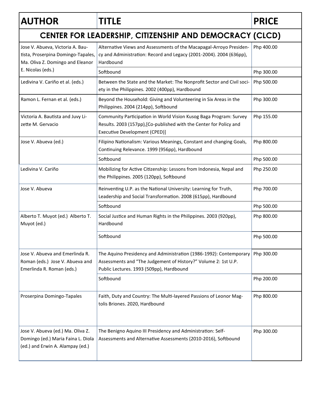## **AUTHOR TITLE PRICE**

| CENTER FOR LEADERSHIP, CITIZENSHIP AND DEMOCRACY (CLCD)                                                                         |                                                                                                                                                                                  |            |  |  |
|---------------------------------------------------------------------------------------------------------------------------------|----------------------------------------------------------------------------------------------------------------------------------------------------------------------------------|------------|--|--|
| Jose V. Abueva, Victoria A. Bau-<br>tista, Proserpina Domingo-Tapales,<br>Ma. Oliva Z. Domingo and Eleanor<br>E. Nicolas (eds.) | Alternative Views and Assessments of the Macapagal-Arroyo Presiden-<br>cy and Administration: Record and Legacy (2001-2004). 2004 (636pp),<br>Hardbound                          | Php 400.00 |  |  |
|                                                                                                                                 | Softbound                                                                                                                                                                        | Php 300.00 |  |  |
| Ledivina V. Cariño et al. (eds.)                                                                                                | Between the State and the Market: The Nonprofit Sector and Civil soci-<br>ety in the Philippines. 2002 (400pp), Hardbound                                                        | Php 500.00 |  |  |
| Ramon L. Fernan et al. (eds.)                                                                                                   | Beyond the Household: Giving and Volunteering in Six Areas in the<br>Philippines. 2004 (214pp), Softbound                                                                        | Php 300.00 |  |  |
| Victoria A. Bautista and Juvy Li-<br>zette M. Gervacio                                                                          | Community Participation in World Vision Kusog Baga Program: Survey<br>Results. 2003 (157pp), [Co-published with the Center for Policy and<br>Executive Development (CPED)]       | Php 155.00 |  |  |
| Jose V. Abueva (ed.)                                                                                                            | Filipino Nationalism: Various Meanings, Constant and changing Goals,<br>Continuing Relevance. 1999 (956pp), Hardbound                                                            | Php 800.00 |  |  |
|                                                                                                                                 | Softbound                                                                                                                                                                        | Php 500.00 |  |  |
| Ledivina V. Cariño                                                                                                              | Mobilizing for Active Citizenship: Lessons from Indonesia, Nepal and<br>the Philippines. 2005 (120pp), Softbound                                                                 | Php 250.00 |  |  |
| Jose V. Abueva                                                                                                                  | Reinventing U.P. as the National University: Learning for Truth,<br>Leadership and Social Transformation. 2008 (615pp), Hardbound                                                | Php 700.00 |  |  |
|                                                                                                                                 | Softbound                                                                                                                                                                        | Php 500.00 |  |  |
| Alberto T. Muyot (ed.) Alberto T.<br>Muyot (ed.)                                                                                | Social Justice and Human Rights in the Philippines. 2003 (920pp),<br>Hardbound                                                                                                   | Php 800.00 |  |  |
|                                                                                                                                 | Softbound                                                                                                                                                                        | Php 500.00 |  |  |
| Jose V. Abueva and Emerlinda R.<br>Roman (eds.) Jose V. Abueva and<br>Emerlinda R. Roman (eds.)                                 | The Aquino Presidency and Administration (1986-1992): Contemporary<br>Assessments and "The Judgement of History?" Volume 2: 1st U.P.<br>Public Lectures. 1993 (509pp), Hardbound | Php 300.00 |  |  |
|                                                                                                                                 | Softbound                                                                                                                                                                        | Php 200.00 |  |  |
| Proserpina Domingo-Tapales                                                                                                      | Faith, Duty and Country: The Multi-layered Passions of Leonor Mag-<br>tolis Briones. 2020, Hardbound                                                                             | Php 800.00 |  |  |
| Jose V. Abueva (ed.) Ma. Oliva Z.<br>Domingo (ed.) Maria Faina L. Diola<br>(ed.) and Erwin A. Alampay (ed.)                     | The Benigno Aquino III Presidency and Administration: Self-<br>Assessments and Alternative Assessments (2010-2016), Softbound                                                    | Php 300.00 |  |  |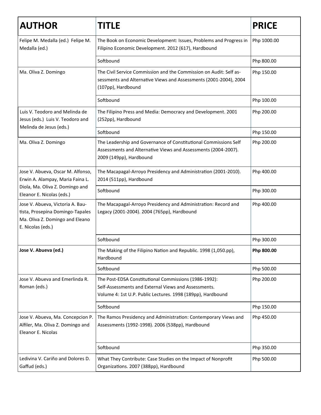| <b>AUTHOR</b>                                                                                                                | TITLE                                                                                                                                                                        | <b>PRICE</b> |
|------------------------------------------------------------------------------------------------------------------------------|------------------------------------------------------------------------------------------------------------------------------------------------------------------------------|--------------|
| Felipe M. Medalla (ed.) Felipe M.<br>Medalla (ed.)                                                                           | The Book on Economic Development: Issues, Problems and Progress in<br>Filipino Economic Development. 2012 (617), Hardbound                                                   | Php 1000.00  |
|                                                                                                                              | Softbound                                                                                                                                                                    | Php 800.00   |
| Ma. Oliva Z. Domingo                                                                                                         | The Civil Service Commission and the Commission on Audit: Self as-<br>sessments and Alternative Views and Assessments (2001-2004), 2004<br>(107pp), Hardbound                | Php 150.00   |
|                                                                                                                              | Softbound                                                                                                                                                                    | Php 100.00   |
| Luis V. Teodoro and Melinda de<br>Jesus (eds.) Luis V. Teodoro and                                                           | The Filipino Press and Media: Democracy and Development. 2001<br>(252pp), Hardbound                                                                                          | Php 200.00   |
| Melinda de Jesus (eds.)                                                                                                      | Softbound                                                                                                                                                                    | Php 150.00   |
| Ma. Oliva Z. Domingo                                                                                                         | The Leadership and Governance of Constitutional Commissions Self<br>Assessments and Alternative Views and Assessments (2004-2007).<br>2009 (149pp), Hardbound                | Php 200.00   |
| Jose V. Abueva, Oscar M. Alfonso,<br>Erwin A. Alampay, Maria Faina L.                                                        | The Macapagal-Arroyo Presidency and Administration (2001-2010).<br>2014 (511pp), Hardbound                                                                                   | Php 400.00   |
| Diola, Ma. Oliva Z. Domingo and<br>Eleanor E. Nicolas (eds.)                                                                 | Softbound                                                                                                                                                                    | Php 300.00   |
| Jose V. Abueva, Victoria A. Bau-<br>tista, Prosepina Domingo-Tapales<br>Ma. Oliva Z. Domingo and Eleano<br>E. Nicolas (eds.) | The Macapagal-Arroyo Presidency and Administration: Record and<br>Legacy (2001-2004). 2004 (765pp), Hardbound                                                                | Php 400.00   |
|                                                                                                                              | Softbound                                                                                                                                                                    | Php 300.00   |
| Jose V. Abueva (ed.)                                                                                                         | The Making of the Filipino Nation and Republic. 1998 (1,050.pp),<br>Hardbound                                                                                                | Php 800.00   |
|                                                                                                                              | Softbound                                                                                                                                                                    | Php 500.00   |
| Jose V. Abueva and Emerlinda R.<br>Roman (eds.)                                                                              | The Post-EDSA Constitutional Commissions (1986-1992):<br>Self-Assessments and External Views and Assessments.<br>Volume 4: 1st U.P. Public Lectures. 1998 (189pp), Hardbound | Php 200.00   |
|                                                                                                                              | Softbound                                                                                                                                                                    | Php 150.00   |
| Jose V. Abueva, Ma. Concepcion P.<br>Alfiler, Ma. Oliva Z. Domingo and<br>Eleanor E. Nicolas                                 | The Ramos Presidency and Administration: Contemporary Views and<br>Assessments (1992-1998). 2006 (538pp), Hardbound                                                          | Php 450.00   |
|                                                                                                                              | Softbound                                                                                                                                                                    | Php 350.00   |
| Ledivina V. Cariño and Dolores D.<br>Gaffud (eds.)                                                                           | What They Contribute: Case Studies on the Impact of Nonprofit<br>Organizations. 2007 (388pp), Hardbound                                                                      | Php 500.00   |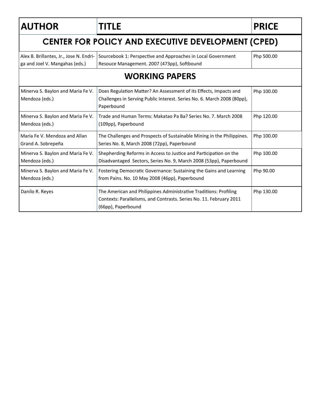| <b>AUTHOR</b>                                                             | <b>TITLE</b>                                                                                                                                                   | <b>PRICE</b> |  |  |
|---------------------------------------------------------------------------|----------------------------------------------------------------------------------------------------------------------------------------------------------------|--------------|--|--|
| <b>CENTER FOR POLICY AND EXECUTIVE DEVELOPMENT (CPED)</b>                 |                                                                                                                                                                |              |  |  |
| Alex B. Brillantes, Jr., Jose N. Endri-<br>ga and Joel V. Mangahas (eds.) | Sourcebook 1: Perspective and Approaches in Local Government<br>Resouce Management. 2007 (473pp), Softbound                                                    | Php 500.00   |  |  |
|                                                                           | <b>WORKING PAPERS</b>                                                                                                                                          |              |  |  |
| Minerva S. Baylon and Maria Fe V.<br>Mendoza (eds.)                       | Does Regulation Matter? An Assessment of its Effects, Impacts and<br>Challenges in Serving Public Interest. Series No. 6. March 2008 (80pp),<br>Paperbound     | Php 100.00   |  |  |
| Minerva S. Baylon and Maria Fe V.<br>Mendoza (eds.)                       | Trade and Human Terms: Makatao Pa Ba? Series No. 7. March 2008<br>(109pp), Paperbound                                                                          | Php 120.00   |  |  |
| Maria Fe V. Mendoza and Allan<br>Grand A. Sobrepeña                       | The Challenges and Prospects of Sustainable Mining in the Philippines.<br>Series No. 8, March 2008 (72pp), Paperbound                                          | Php 100.00   |  |  |
| Minerva S. Baylon and Maria Fe V.<br>Mendoza (eds.)                       | Shepherding Reforms in Access to Justice and Participation on the<br>Disadvantaged Sectors, Series No. 9, March 2008 (53pp), Paperbound                        | Php 100.00   |  |  |
| Minerva S. Baylon and Maria Fe V.<br>Mendoza (eds.)                       | Fostering Democratic Governance: Sustaining the Gains and Learning<br>from Pains. No. 10 May 2008 (46pp), Paperbound                                           | Php 90.00    |  |  |
| Danilo R. Reyes                                                           | The American and Philippines Administrative Traditions: Profiling<br>Contexts: Parallelisms, and Contrasts. Series No. 11. February 2011<br>(66pp), Paperbound | Php 130.00   |  |  |